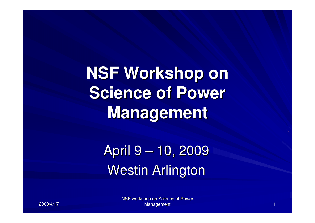**NSF Workshop on Science of Power Management**

> April 9 – 10, 2009Westin Arlington

> > NSF workshop on Science of Power Management ${\bf t}$  , and the set of the set of the set of the set of the set of  ${\bf t}$

2009/4/17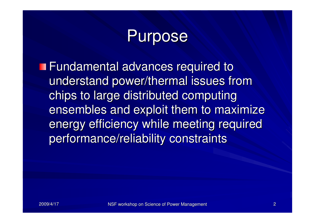# Purpose

**Fundamental advances required to** understand power/thermal issues from chips to large distributed computing ensembles and exploit them to maximize energy efficiency while meeting required performance/reliability constraints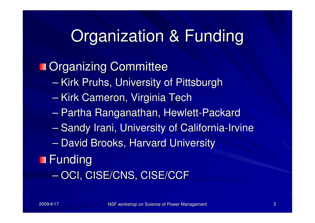# Organization & Funding

### **n** Organizing Committee

- $\mathcal{L}_{\mathcal{A}}$ — Kirk Pruhs, University of Pittsburgh
- $\mathcal{L}_{\mathcal{A}}$  , where  $\mathcal{L}_{\mathcal{A}}$  is the set of the set of the set of the set of the set of the set of the set of the set of the set of the set of the set of the set of the set of the set of the set of the set of the <mark>– Kirk Cameron, Virginia Tech</mark>
- $\mathcal{L}_{\mathcal{A}}$  , where  $\mathcal{L}_{\mathcal{A}}$  is the set of the set of the set of the set of the set of the set of the set of the set of the set of the set of the set of the set of the set of the set of the set of the set of the Partha Ranganathan, Hewlett-Packard
- –— Sandy Irani, University of California-Irvine
- $\mathcal{L}_{\mathcal{A}}$  , where  $\mathcal{L}_{\mathcal{A}}$  is the set of the set of the set of the set of the set of the set of the set of the set of the set of the set of the set of the set of the set of the set of the set of the set of the — David Brooks, Harvard University

### **Funding**

– $-$  OCI, CISE/CNS, CISE/CCF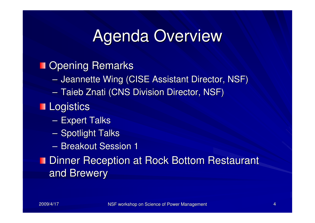# Agenda Overview

### **Doening Remarks**

- $\sim$  $-$  Jeannette Wing (CISE Assistant Director, NSF)
- – $-$  Taieb Znati (CNS Division Director, NSF)

### **Logistics**

- $\mathcal{L}_{\mathcal{A}}$ – Expert Talks
- –— Spotlight Talks
- $\mathcal{L}_{\mathcal{A}}$  $-$  Breakout Session 1

### **Dinner Reception at Rock Bottom Restaurant** and Brewery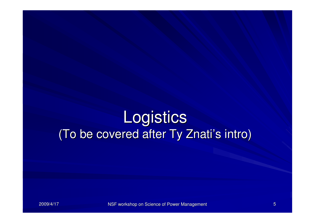# **Logistics** (To be covered after Ty Znati's intro)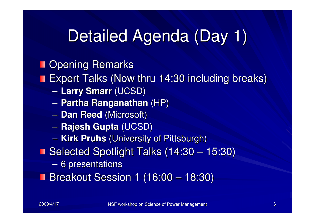# Detailed Agenda (Day 1)

### **Dening Remarks**

Expert Talks (Now thru 14:30 including breaks)

- $\sim$ **Larry Smarr** (UCSD)
- –**Partha Ranganathan** (HP)
- – $-$  **Dan Reed** (Microsoft)
- $\mathcal{L}_{\mathcal{A}}$ **Rajesh Gupta** (UCSD)
- $\mathcal{L}_{\mathcal{A}}$ **Kirk Pruhs** (University of Pittsburgh)
- Selected Spotlight Talks (14:30 15:30)
	- – $-$  6 presentations
- Breakout Session 1 (16:00 18:30)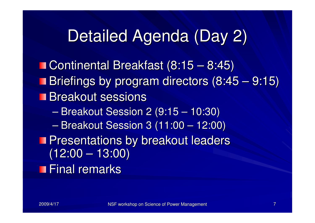# Detailed Agenda (Day 2)

Continental Breakfast (8:15 – 8:45) Briefings by program directors (8:45 – 9:15) **Breakout sessions**  $\mathcal{L}_{\mathcal{A}}$  Breakout Session 2 (9:15 – 10:30)  $\mathcal{L}_{\mathcal{A}}$  , where  $\mathcal{L}_{\mathcal{A}}$  is the set of the set of the set of the set of the set of the set of the set of the set of the set of the set of the set of the set of the set of the set of the set of the set of the Breakout Session 3 (11:00 – 12:00) **Presentations by breakout leaders** (12:00 – 13:00) **Final remarks**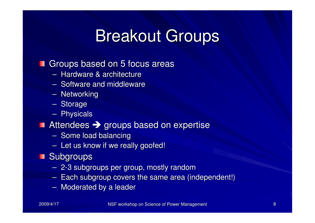### Breakout Groups

#### Groups based on 5 focus areasП

- –- Hardware & architecture
- –- Software and middleware
- –– Networking
- –– Storage
- –– Physicals

# Attendees → groups based on expertise<br>- Some load balancing

- Some load balancing
- – $-$  Let us know if we really goofed!

### **Subgroups**

- –2-3 subgroups per group, mostly random
- Farn Sunnmoun rovers ine same area li  $-$  Each subgroup covers the same area (independent!)
- – $-$  Moderated by a leader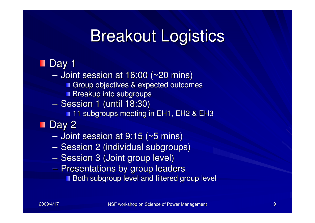# Breakout Logistics

### **Day 1**

– I∩I  $-$  Joint session at 16:00 (~20 mins) Group objectives & expected outcomes

**Breakup into subgroups** 

 $\mathcal{L}_{\mathcal{A}}$ Session 1 (until 18:30)

**11 subgroups meeting in EH1, EH2 & EH3** 

### **Day 2**

– I∩I  $-$  Joint session at 9:15 (~5 mins)

- –Session 2 (individual subgroups)
- $\sim$ — Session 3 (Joint group level)
- $\sim$ – Presentations by group leaders

**Both subgroup level and filtered group level**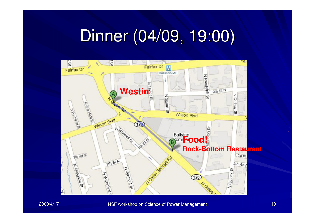# Dinner (04/09, 19:00)

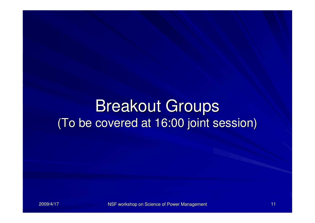### Breakout Groups(To be covered at 16:00 joint session)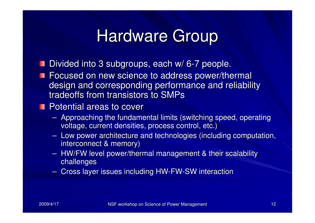### Hardware Group

- Divided into 3 subgroups, each w/ 6-7 people.
- **Focused on new science to address power/thermal**  design and corresponding performance and reliability tradeoffs from transistors to SMPs

### **Potential areas to cover**

- –- Approaching the fundamental limits (switching speed, operating voltage, current densities, process control, etc.)
- –- Low power architecture and technologies (including computation, interconnect & memory)
- –- HW/FW level power/thermal management & their scalability challenges
- – $-$  Cross layer issues including HW-FW-SW interaction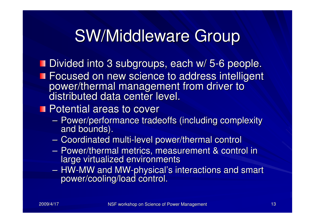# SW/Middleware Group

Divided into 3 subgroups, each w/ 5-6 people. **Focused on new science to address intelligent** power/thermal management from driver to distributed data center level.

### **Potential areas to cover**

- $\mathcal{L}_{\mathcal{A}}$ - Power/performance tradeoffs (including complexity and bounds).
- $\mathcal{L}_{\mathcal{A}}$ - Coordinated multi-level power/thermal control
- $\sim$ - Power/thermal metrics, measurement & control in large virtualized environments
- $\sim$ - HW-MW and MW-physical's interactions and smart power/cooling/load control.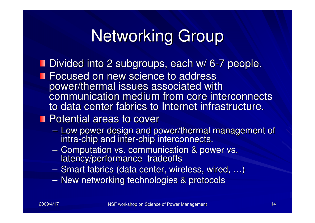# Networking Group

- Divided into 2 subgroups, each w/ 6-7 people.
- **Focused on new science to address**  power/thermal issues associated with communication medium from core interconnects to data center fabrics to Internet infrastructure.
- **Potential areas to cover** 
	- $\sim$ - Low power design and power/thermal management of intra-chip and inter-chip interconnects.
	- $\sim$ - Computation vs. communication & power vs. latency/performance tradeoffs
	- $\mathcal{L}_{\mathcal{A}}$ Smart fabrics (data center, wireless, wired, …)
	- $\sim$ New networking technologies & protocols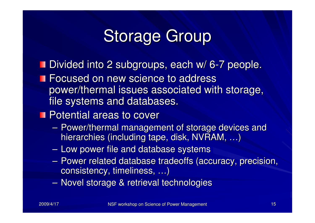# Storage Group

- Divided into 2 subgroups, each w/ 6-7 people.
- **Focused on new science to address**  power/thermal issues associated with storage, file systems and databases.
- **Potential areas to cover** 
	- $\mathcal{L}_{\mathcal{A}}$ - Power/thermal management of storage devices and hierarchies (including tape, disk, NVRAM, ...)
	- – $-$  Low power file and database systems
	- – Power related database tradeoffs (accuracy, precision, consistency, timeliness, …)
	- $\mathcal{L}_{\mathcal{A}}$  $-$  Novel storage & retrieval technologies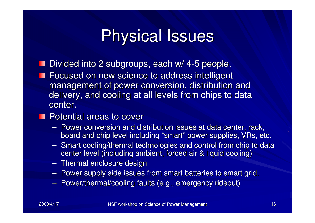# Physical Issues

- Divided into 2 subgroups, each w/ 4-5 people.
- **Focused on new science to address intelligent**  management of power conversion, distribution and delivery, and cooling at all levels from chips to data center.
- **Potential areas to cover** 
	- –Power conversion and distribution issues at data center, rack,<br>has related this layed including "cross"" resuscingualise, MBs, et board and chip level including "smart" power supplies, VRs, etc.
	- –- Smart cooling/thermal technologies and control from chip to data center level (including ambient, forced air & liquid cooling) –
	- Thermal enclosure design
	- – $-$  Power supply side issues from smart batteries to smart grid.
	- –- Power/thermal/cooling faults (e.g., emergency rideout)